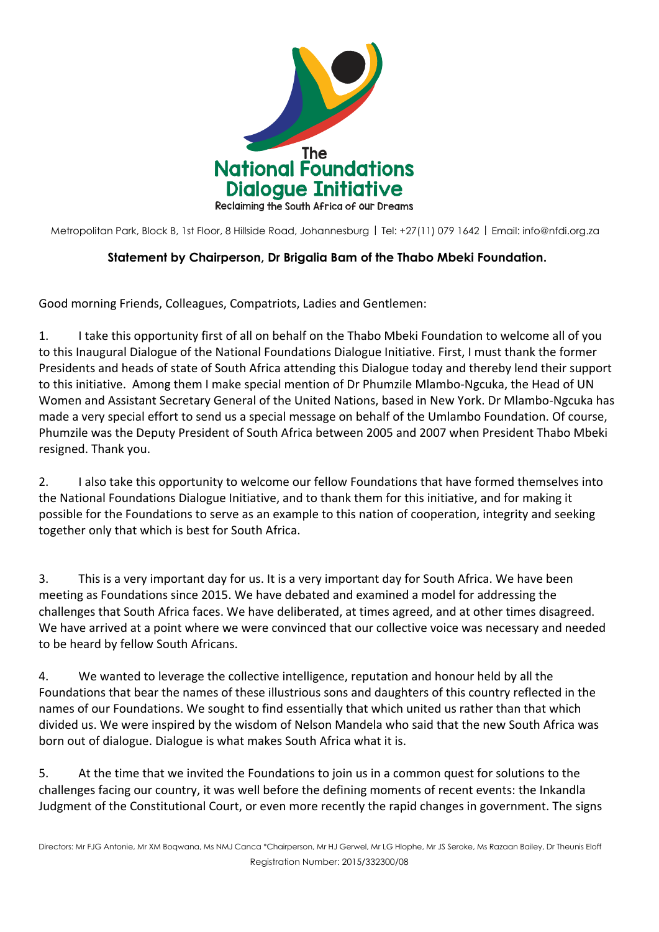

Metropolitan Park, Block B, 1st Floor, 8 Hillside Road, Johannesburg | Tel: +27(11) 079 1642 | Email: [info@nfdi.org.za](mailto:info@nfdi.org.za)

## **Statement by Chairperson, Dr Brigalia Bam of the Thabo Mbeki Foundation.**

Good morning Friends, Colleagues, Compatriots, Ladies and Gentlemen:

1. I take this opportunity first of all on behalf on the Thabo Mbeki Foundation to welcome all of you to this Inaugural Dialogue of the National Foundations Dialogue Initiative. First, I must thank the former Presidents and heads of state of South Africa attending this Dialogue today and thereby lend their support to this initiative. Among them I make special mention of Dr Phumzile Mlambo-Ngcuka, the Head of UN Women and Assistant Secretary General of the United Nations, based in New York. Dr Mlambo-Ngcuka has made a very special effort to send us a special message on behalf of the Umlambo Foundation. Of course, Phumzile was the Deputy President of South Africa between 2005 and 2007 when President Thabo Mbeki resigned. Thank you.

2. I also take this opportunity to welcome our fellow Foundations that have formed themselves into the National Foundations Dialogue Initiative, and to thank them for this initiative, and for making it possible for the Foundations to serve as an example to this nation of cooperation, integrity and seeking together only that which is best for South Africa.

3. This is a very important day for us. It is a very important day for South Africa. We have been meeting as Foundations since 2015. We have debated and examined a model for addressing the challenges that South Africa faces. We have deliberated, at times agreed, and at other times disagreed. We have arrived at a point where we were convinced that our collective voice was necessary and needed to be heard by fellow South Africans.

4. We wanted to leverage the collective intelligence, reputation and honour held by all the Foundations that bear the names of these illustrious sons and daughters of this country reflected in the names of our Foundations. We sought to find essentially that which united us rather than that which divided us. We were inspired by the wisdom of Nelson Mandela who said that the new South Africa was born out of dialogue. Dialogue is what makes South Africa what it is.

5. At the time that we invited the Foundations to join us in a common quest for solutions to the challenges facing our country, it was well before the defining moments of recent events: the Inkandla Judgment of the Constitutional Court, or even more recently the rapid changes in government. The signs